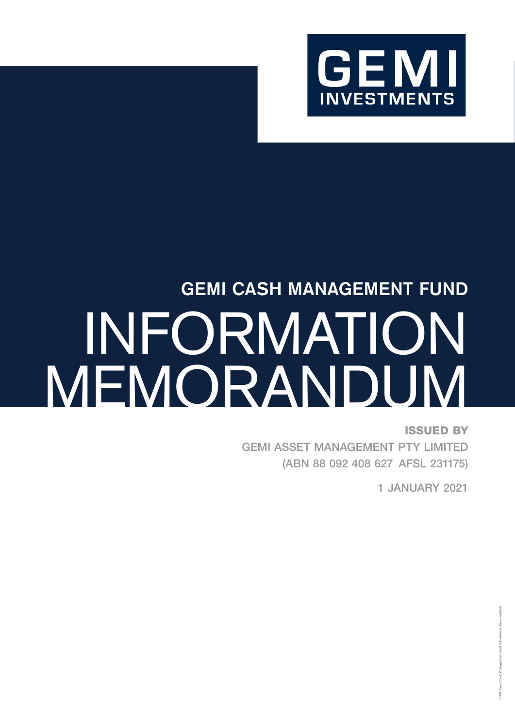

# GEMI CASH MANAGEMENT FUND INFORMATION MEMORANDUM

ISSUED BY GEMI ASSET MANAGEMENT PTY LIMITED (ABN 88 092 408 627 AFSL 231175)

1 JANUARY 2021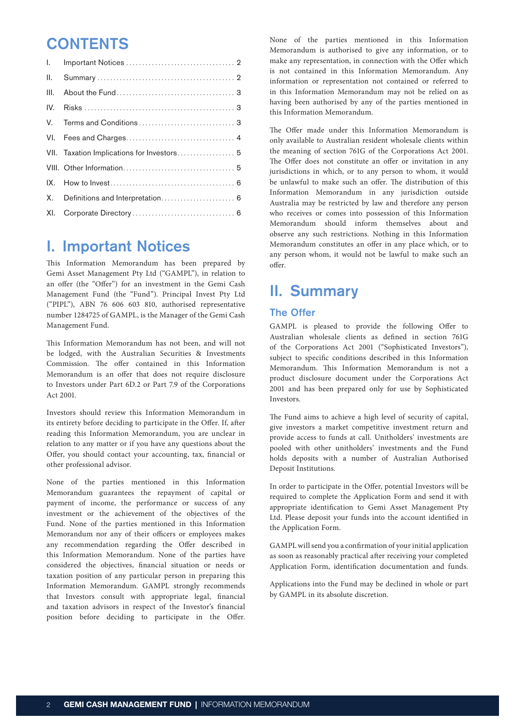## **CONTENTS**

| L.   |                                            |
|------|--------------------------------------------|
| II.  |                                            |
| III. |                                            |
| IV.  |                                            |
|      |                                            |
|      |                                            |
|      | VII. Taxation Implications for Investors 5 |
|      |                                            |
| IX.  |                                            |
| X.   | Definitions and Interpretation 6           |
| XI.  |                                            |

### I. Important Notices

This Information Memorandum has been prepared by Gemi Asset Management Pty Ltd ("GAMPL"), in relation to an offer (the "Offer") for an investment in the Gemi Cash Management Fund (the "Fund"). Principal Invest Pty Ltd ("PIPL"), ABN 76 606 603 810, authorised representative number 1284725 of GAMPL, is the Manager of the Gemi Cash Management Fund.

This Information Memorandum has not been, and will not be lodged, with the Australian Securities & Investments Commission. The offer contained in this Information Memorandum is an offer that does not require disclosure to Investors under Part 6D.2 or Part 7.9 of the Corporations Act 2001.

Investors should review this Information Memorandum in its entirety before deciding to participate in the Offer. If, after reading this Information Memorandum, you are unclear in relation to any matter or if you have any questions about the Offer, you should contact your accounting, tax, financial or other professional advisor.

None of the parties mentioned in this Information Memorandum guarantees the repayment of capital or payment of income, the performance or success of any investment or the achievement of the objectives of the Fund. None of the parties mentioned in this Information Memorandum nor any of their officers or employees makes any recommendation regarding the Offer described in this Information Memorandum. None of the parties have considered the objectives, financial situation or needs or taxation position of any particular person in preparing this Information Memorandum. GAMPL strongly recommends that Investors consult with appropriate legal, financial and taxation advisors in respect of the Investor's financial position before deciding to participate in the Offer.

None of the parties mentioned in this Information Memorandum is authorised to give any information, or to make any representation, in connection with the Offer which is not contained in this Information Memorandum. Any information or representation not contained or referred to in this Information Memorandum may not be relied on as having been authorised by any of the parties mentioned in this Information Memorandum.

The Offer made under this Information Memorandum is only available to Australian resident wholesale clients within the meaning of section 761G of the Corporations Act 2001. The Offer does not constitute an offer or invitation in any jurisdictions in which, or to any person to whom, it would be unlawful to make such an offer. The distribution of this Information Memorandum in any jurisdiction outside Australia may be restricted by law and therefore any person who receives or comes into possession of this Information Memorandum should inform themselves about and observe any such restrictions. Nothing in this Information Memorandum constitutes an offer in any place which, or to any person whom, it would not be lawful to make such an offer.

# II. Summary

#### The Offer

GAMPL is pleased to provide the following Offer to Australian wholesale clients as defined in section 761G of the Corporations Act 2001 ("Sophisticated Investors"), subject to specific conditions described in this Information Memorandum. This Information Memorandum is not a product disclosure document under the Corporations Act 2001 and has been prepared only for use by Sophisticated Investors.

The Fund aims to achieve a high level of security of capital, give investors a market competitive investment return and provide access to funds at call. Unitholders' investments are pooled with other unitholders' investments and the Fund holds deposits with a number of Australian Authorised Deposit Institutions.

In order to participate in the Offer, potential Investors will be required to complete the Application Form and send it with appropriate identification to Gemi Asset Management Pty Ltd. Please deposit your funds into the account identified in the Application Form.

GAMPL will send you a confirmation of your initial application as soon as reasonably practical after receiving your completed Application Form, identification documentation and funds.

Applications into the Fund may be declined in whole or part by GAMPL in its absolute discretion.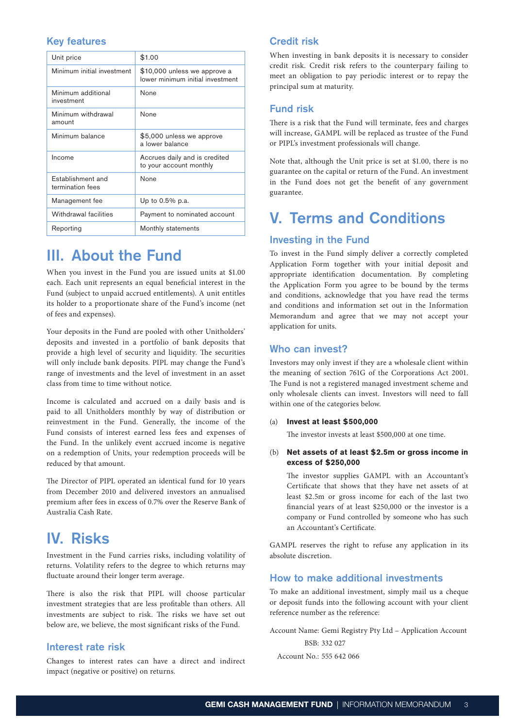#### Key features

| Unit price                            | \$1.00                                                           |
|---------------------------------------|------------------------------------------------------------------|
| Minimum initial investment            | \$10,000 unless we approve a<br>lower minimum initial investment |
| Minimum additional<br>investment      | None                                                             |
| Minimum withdrawal<br>amount          | None                                                             |
| Minimum balance                       | \$5,000 unless we approve<br>a lower balance                     |
| Income                                | Accrues daily and is credited<br>to your account monthly         |
| Establishment and<br>termination fees | <b>None</b>                                                      |
| Management fee                        | Up to $0.5\%$ p.a.                                               |
| Withdrawal facilities                 | Payment to nominated account                                     |
| Reporting                             | Monthly statements                                               |

## III. About the Fund

When you invest in the Fund you are issued units at \$1.00 each. Each unit represents an equal beneficial interest in the Fund (subject to unpaid accrued entitlements). A unit entitles its holder to a proportionate share of the Fund's income (net of fees and expenses).

Your deposits in the Fund are pooled with other Unitholders' deposits and invested in a portfolio of bank deposits that provide a high level of security and liquidity. The securities will only include bank deposits. PIPL may change the Fund's range of investments and the level of investment in an asset class from time to time without notice.

Income is calculated and accrued on a daily basis and is paid to all Unitholders monthly by way of distribution or reinvestment in the Fund. Generally, the income of the Fund consists of interest earned less fees and expenses of the Fund. In the unlikely event accrued income is negative on a redemption of Units, your redemption proceeds will be reduced by that amount.

The Director of PIPL operated an identical fund for 10 years from December 2010 and delivered investors an annualised premium after fees in excess of 0.7% over the Reserve Bank of Australia Cash Rate.

## IV. Risks

Investment in the Fund carries risks, including volatility of returns. Volatility refers to the degree to which returns may fluctuate around their longer term average.

There is also the risk that PIPL will choose particular investment strategies that are less profitable than others. All investments are subject to risk. The risks we have set out below are, we believe, the most significant risks of the Fund.

#### Interest rate risk

Changes to interest rates can have a direct and indirect impact (negative or positive) on returns.

#### Credit risk

When investing in bank deposits it is necessary to consider credit risk. Credit risk refers to the counterpary failing to meet an obligation to pay periodic interest or to repay the principal sum at maturity.

#### Fund risk

There is a risk that the Fund will terminate, fees and charges will increase, GAMPL will be replaced as trustee of the Fund or PIPL's investment professionals will change.

Note that, although the Unit price is set at \$1.00, there is no guarantee on the capital or return of the Fund. An investment in the Fund does not get the benefit of any government guarantee.

## V. Terms and Conditions

#### Investing in the Fund

To invest in the Fund simply deliver a correctly completed Application Form together with your initial deposit and appropriate identification documentation. By completing the Application Form you agree to be bound by the terms and conditions, acknowledge that you have read the terms and conditions and information set out in the Information Memorandum and agree that we may not accept your application for units.

#### Who can invest?

Investors may only invest if they are a wholesale client within the meaning of section 761G of the Corporations Act 2001. The Fund is not a registered managed investment scheme and only wholesale clients can invest. Investors will need to fall within one of the categories below.

#### (a) **Invest at least \$500,000**

The investor invests at least \$500,000 at one time.

(b) **Net assets of at least \$2.5m or gross income in excess of \$250,000**

The investor supplies GAMPL with an Accountant's Certificate that shows that they have net assets of at least \$2.5m or gross income for each of the last two financial years of at least \$250,000 or the investor is a company or Fund controlled by someone who has such an Accountant's Certificate.

GAMPL reserves the right to refuse any application in its absolute discretion.

#### How to make additional investments

To make an additional investment, simply mail us a cheque or deposit funds into the following account with your client reference number as the reference:

Account Name: Gemi Registry Pty Ltd – Application Account BSB: 332 027

Account No.: 555 642 066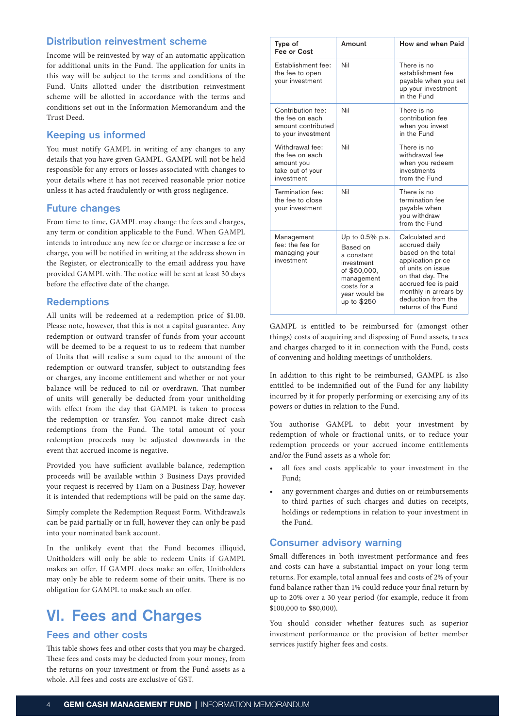#### Distribution reinvestment scheme

Income will be reinvested by way of an automatic application for additional units in the Fund. The application for units in this way will be subject to the terms and conditions of the Fund. Units allotted under the distribution reinvestment scheme will be allotted in accordance with the terms and conditions set out in the Information Memorandum and the Trust Deed.

#### Keeping us informed

You must notify GAMPL in writing of any changes to any details that you have given GAMPL. GAMPL will not be held responsible for any errors or losses associated with changes to your details where it has not received reasonable prior notice unless it has acted fraudulently or with gross negligence.

#### Future changes

From time to time, GAMPL may change the fees and charges, any term or condition applicable to the Fund. When GAMPL intends to introduce any new fee or charge or increase a fee or charge, you will be notified in writing at the address shown in the Register, or electronically to the email address you have provided GAMPL with. The notice will be sent at least 30 days before the effective date of the change.

#### **Redemptions**

All units will be redeemed at a redemption price of \$1.00. Please note, however, that this is not a capital guarantee. Any redemption or outward transfer of funds from your account will be deemed to be a request to us to redeem that number of Units that will realise a sum equal to the amount of the redemption or outward transfer, subject to outstanding fees or charges, any income entitlement and whether or not your balance will be reduced to nil or overdrawn. That number of units will generally be deducted from your unitholding with effect from the day that GAMPL is taken to process the redemption or transfer. You cannot make direct cash redemptions from the Fund. The total amount of your redemption proceeds may be adjusted downwards in the event that accrued income is negative.

Provided you have sufficient available balance, redemption proceeds will be available within 3 Business Days provided your request is received by 11am on a Business Day, however it is intended that redemptions will be paid on the same day.

Simply complete the Redemption Request Form. Withdrawals can be paid partially or in full, however they can only be paid into your nominated bank account.

In the unlikely event that the Fund becomes illiquid, Unitholders will only be able to redeem Units if GAMPL makes an offer. If GAMPL does make an offer, Unitholders may only be able to redeem some of their units. There is no obligation for GAMPL to make such an offer.

## VI. Fees and Charges

#### Fees and other costs

This table shows fees and other costs that you may be charged. These fees and costs may be deducted from your money, from the returns on your investment or from the Fund assets as a whole. All fees and costs are exclusive of GST.

| Type of<br>Fee or Cost                                                             | Amount                                                                                                                               | How and when Paid                                                                                                                                                                                                |
|------------------------------------------------------------------------------------|--------------------------------------------------------------------------------------------------------------------------------------|------------------------------------------------------------------------------------------------------------------------------------------------------------------------------------------------------------------|
| Establishment fee:<br>the fee to open<br>your investment                           | Nil                                                                                                                                  | There is no<br>establishment fee<br>payable when you set<br>up your investment<br>in the Fund                                                                                                                    |
| Contribution fee:<br>the fee on each<br>amount contributed<br>to your investment   | Nil                                                                                                                                  | There is no<br>contribution fee<br>when you invest<br>in the Fund                                                                                                                                                |
| Withdrawal fee:<br>the fee on each<br>amount you<br>take out of your<br>investment | Nil                                                                                                                                  | There is no<br>withdrawal fee<br>when you redeem<br>investments<br>from the Fund                                                                                                                                 |
| Termination fee:<br>the fee to close<br>your investment                            | Nil                                                                                                                                  | There is no<br>termination fee<br>payable when<br>you withdraw<br>from the Fund                                                                                                                                  |
| Management<br>fee: the fee for<br>managing your<br>investment                      | Up to 0.5% p.a.<br>Based on<br>a constant<br>investment<br>of \$50,000,<br>management<br>costs for a<br>year would be<br>up to \$250 | Calculated and<br>accrued daily<br>based on the total<br>application price<br>of units on issue<br>on that day. The<br>accrued fee is paid<br>monthly in arrears by<br>deduction from the<br>returns of the Fund |

GAMPL is entitled to be reimbursed for (amongst other things) costs of acquiring and disposing of Fund assets, taxes and charges charged to it in connection with the Fund, costs of convening and holding meetings of unitholders.

In addition to this right to be reimbursed, GAMPL is also entitled to be indemnified out of the Fund for any liability incurred by it for properly performing or exercising any of its powers or duties in relation to the Fund.

You authorise GAMPL to debit your investment by redemption of whole or fractional units, or to reduce your redemption proceeds or your accrued income entitlements and/or the Fund assets as a whole for:

- all fees and costs applicable to your investment in the Fund;
- any government charges and duties on or reimbursements to third parties of such charges and duties on receipts, holdings or redemptions in relation to your investment in the Fund.

#### Consumer advisory warning

Small differences in both investment performance and fees and costs can have a substantial impact on your long term returns. For example, total annual fees and costs of 2% of your fund balance rather than 1% could reduce your final return by up to 20% over a 30 year period (for example, reduce it from \$100,000 to \$80,000).

You should consider whether features such as superior investment performance or the provision of better member services justify higher fees and costs.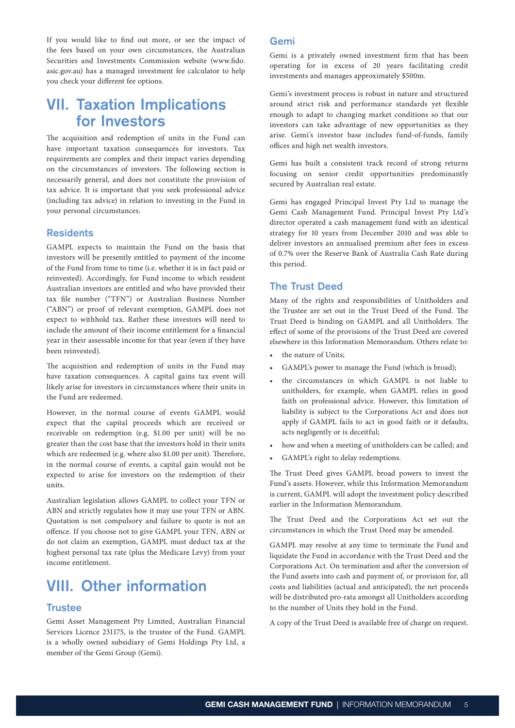If you would like to find out more, or see the impact of the fees based on your own circumstances, the Australian Securities and Investments Commission website [\(www.fido.](http://www.fido.asic.gov.au) [asic.gov.au\)](http://www.fido.asic.gov.au) has a managed investment fee calculator to help you check your different fee options.

## VII. Taxation Implications for Investors

The acquisition and redemption of units in the Fund can have important taxation consequences for investors. Tax requirements are complex and their impact varies depending on the circumstances of investors. The following section is necessarily general, and does not constitute the provision of tax advice. It is important that you seek professional advice (including tax advice) in relation to investing in the Fund in your personal circumstances.

#### Residents

GAMPL expects to maintain the Fund on the basis that investors will be presently entitled to payment of the income of the Fund from time to time (i.e. whether it is in fact paid or reinvested). Accordingly, for Fund income to which resident Australian investors are entitled and who have provided their tax file number ("TFN") or Australian Business Number ("ABN") or proof of relevant exemption, GAMPL does not expect to withhold tax. Rather these investors will need to include the amount of their income entitlement for a financial year in their assessable income for that year (even if they have been reinvested).

The acquisition and redemption of units in the Fund may have taxation consequences. A capital gains tax event will likely arise for investors in circumstances where their units in the Fund are redeemed.

However, in the normal course of events GAMPL would expect that the capital proceeds which are received or receivable on redemption (e.g. \$1.00 per unit) will be no greater than the cost base that the investors hold in their units which are redeemed (e.g. where also \$1.00 per unit). Therefore, in the normal course of events, a capital gain would not be expected to arise for investors on the redemption of their units.

Australian legislation allows GAMPL to collect your TFN or ABN and strictly regulates how it may use your TFN or ABN. Quotation is not compulsory and failure to quote is not an offence. If you choose not to give GAMPL your TFN, ABN or do not claim an exemption, GAMPL must deduct tax at the highest personal tax rate (plus the Medicare Levy) from your income entitlement.

# VIII. Other information

#### **Trustee**

Gemi Asset Management Pty Limited, Australian Financial Services Licence 231175, is the trustee of the Fund. GAMPL is a wholly owned subsidiary of Gemi Holdings Pty Ltd, a member of the Gemi Group (Gemi).

#### Gemi

Gemi is a privately owned investment firm that has been operating for in excess of 20 years facilitating credit investments and manages approximately \$500m.

Gemi's investment process is robust in nature and structured around strict risk and performance standards yet flexible enough to adapt to changing market conditions so that our investors can take advantage of new opportunities as they arise. Gemi's investor base includes fund-of-funds, family offices and high net wealth investors.

Gemi has built a consistent track record of strong returns focusing on senior credit opportunities predominantly secured by Australian real estate.

Gemi has engaged Principal Invest Pty Ltd to manage the Gemi Cash Management Fund. Principal Invest Pty Ltd's director operated a cash management fund with an identical strategy for 10 years from December 2010 and was able to deliver investors an annualised premium after fees in excess of 0.7% over the Reserve Bank of Australia Cash Rate during this period.

#### The Trust Deed

Many of the rights and responsibilities of Unitholders and the Trustee are set out in the Trust Deed of the Fund. The Trust Deed is binding on GAMPL and all Unitholders. The effect of some of the provisions of the Trust Deed are covered elsewhere in this Information Memorandum. Others relate to:

- the nature of Units;
- GAMPL's power to manage the Fund (which is broad);
- the circumstances in which GAMPL is not liable to unitholders, for example, when GAMPL relies in good faith on professional advice. However, this limitation of liability is subject to the Corporations Act and does not apply if GAMPL fails to act in good faith or it defaults, acts negligently or is deceitful;
- how and when a meeting of unitholders can be called; and
- GAMPL's right to delay redemptions.

The Trust Deed gives GAMPL broad powers to invest the Fund's assets. However, while this Information Memorandum is current, GAMPL will adopt the investment policy described earlier in the Information Memorandum.

The Trust Deed and the Corporations Act set out the circumstances in which the Trust Deed may be amended.

GAMPL may resolve at any time to terminate the Fund and liquidate the Fund in accordance with the Trust Deed and the Corporations Act. On termination and after the conversion of the Fund assets into cash and payment of, or provision for, all costs and liabilities (actual and anticipated), the net proceeds will be distributed pro-rata amongst all Unitholders according to the number of Units they hold in the Fund.

A copy of the Trust Deed is available free of charge on request.